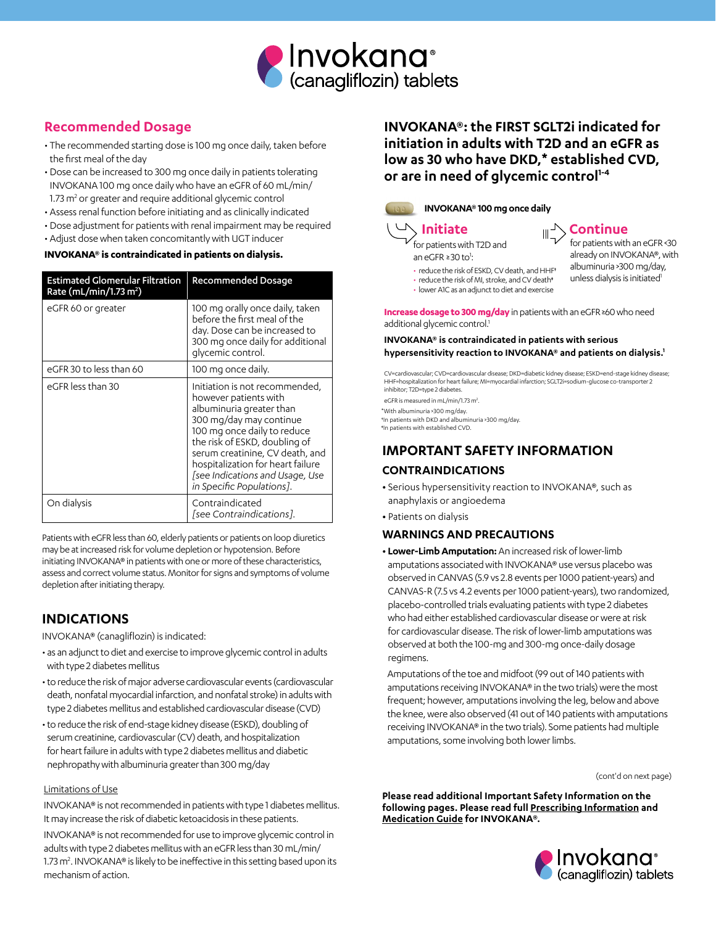

# **Recommended Dosage**

- The recommended starting dose is 100 mg once daily, taken before the first meal of the day
- Dose can be increased to 300 mg once daily in patients tolerating INVOKANA 100 mg once daily who have an eGFR of 60 mL/min/ 1.73 m<sup>2</sup> or greater and require additional glycemic control
- Assess renal function before initiating and as clinically indicated
- Dose adjustment for patients with renal impairment may be required
- Adjust dose when taken concomitantly with UGT inducer

### **INVOKANA® is contraindicated in patients on dialysis.**

| <b>Estimated Glomerular Filtration</b><br>Rate (mL/min/1.73 m <sup>2</sup> ) | <b>Recommended Dosage</b>                                                                                                                                                                                                                                                                                              |
|------------------------------------------------------------------------------|------------------------------------------------------------------------------------------------------------------------------------------------------------------------------------------------------------------------------------------------------------------------------------------------------------------------|
| eGFR 60 or greater                                                           | 100 mg orally once daily, taken<br>before the first meal of the<br>day. Dose can be increased to<br>300 mg once daily for additional<br>glycemic control.                                                                                                                                                              |
| eGFR 30 to less than 60                                                      | 100 mg once daily.                                                                                                                                                                                                                                                                                                     |
| eGFR less than 30                                                            | Initiation is not recommended,<br>however patients with<br>albuminuria greater than<br>300 mg/day may continue<br>100 mg once daily to reduce<br>the risk of ESKD, doubling of<br>serum creatinine, CV death, and<br>hospitalization for heart failure<br>[see Indications and Usage, Use<br>in Specific Populations]. |
| On dialysis                                                                  | Contraindicated<br>[see Contraindications].                                                                                                                                                                                                                                                                            |

Patients with eGFR less than 60, elderly patients or patients on loop diuretics may be at increased risk for volume depletion or hypotension. Before initiating INVOKANA® in patients with one or more of these characteristics, assess and correct volume status. Monitor for signs and symptoms of volume depletion after initiating therapy.

## **INDICATIONS**

INVOKANA® (canagliflozin) is indicated:

- as an adjunct to diet and exercise to improve glycemic control in adults with type 2 diabetes mellitus
- to reduce the risk of major adverse cardiovascular events (cardiovascular death, nonfatal myocardial infarction, and nonfatal stroke) in adults with type 2 diabetes mellitus and established cardiovascular disease (CVD)
- to reduce the risk of end-stage kidney disease (ESKD), doubling of serum creatinine, cardiovascular (CV) death, and hospitalization for heart failure in adults with type 2 diabetes mellitus and diabetic nephropathy with albuminuria greater than 300 mg/day

#### Limitations of Use

INVOKANA® is not recommended in patients with type 1 diabetes mellitus. It may increase the risk of diabetic ketoacidosis in these patients.

INVOKANA® is not recommended for use to improve glycemic control in adults with type 2 diabetes mellitus with an eGFR less than 30 mL/min/ 1.73 m<sup>2</sup>. INVOKANA® is likely to be ineffective in this setting based upon its mechanism of action.

# **INVOKANA®: the FIRST SGLT2i indicated for initiation in adults with T2D and an eGFR as low as 30 who have DKD,\* established CVD, or are in need of glycemic control1-4**



# **INVOKANA® 100 mg once daily**

for patients with T2D and an eGFR ≥30 to<sup>1</sup>:

- 
- reduce the risk of ESKD, CV death, and HHF†
- reduce the risk of MI, stroke, and CV death\*
- lower A1C as an adjunct to diet and exercise

**Increase dosage to 300 mg/day** in patients with an eGFR ≥60 who need additional glycemic control.<sup>1</sup>

#### **INVOKANA® is contraindicated in patients with serious hypersensitivity reaction to INVOKANA® and patients on dialysis.1**

CV=cardiovascular; CVD=cardiovascular disease; DKD=diabetic kidney disease; ESKD=end-stage kidney disease; HHF=hospitalization for heart failure; MI=myocardial infarction; SGLT2i=sodium-glucose co-transporter 2 inhibitor; T2D=type 2 diabetes.

eGFR is measured in mL/min/1.73 m<sup>2</sup> \*With albuminuria >300 mg/day.

†In patients with DKD and albuminuria >300 mg/day.

‡In patients with established CVD.

## **IMPORTANT SAFETY INFORMATION**

### **CONTRAINDICATIONS**

- **•** Serious hypersensitivity reaction to INVOKANA®, such as anaphylaxis or angioedema
- **•** Patients on dialysis

### **WARNINGS AND PRECAUTIONS**

**• Lower-Limb Amputation:** An increased risk of lower-limb amputations associated with INVOKANA® use versus placebo was observed in CANVAS (5.9 vs 2.8 events per 1000 patient-years) and CANVAS-R (7.5 vs 4.2 events per 1000 patient-years), two randomized, placebo-controlled trials evaluating patients with type 2 diabetes who had either established cardiovascular disease or were at risk for cardiovascular disease. The risk of lower-limb amputations was observed at both the 100-mg and 300-mg once-daily dosage regimens.

Amputations of the toe and midfoot (99 out of 140 patients with amputations receiving INVOKANA® in the two trials) were the most frequent; however, amputations involving the leg, below and above the knee, were also observed (41 out of 140 patients with amputations receiving INVOKANA® in the two trials). Some patients had multiple amputations, some involving both lower limbs.

(cont'd on next page)

**Please read additional Important Safety Information on the following pages. Please read full [Prescribing Information](http://www.janssenlabels.com/package-insert/product-monograph/prescribing-information/INVOKANA-pi.pdf) and [Medication Guide](http://www.janssenlabels.com/package-insert/product-patient-information/INVOKANA-medication-guide.pdf) for INVOKANA®.**



**Initiate Continue** for patients with an eGFR <30 already on INVOKANA®, with albuminuria >300 mg/day, unless dialysis is initiated<sup>1</sup>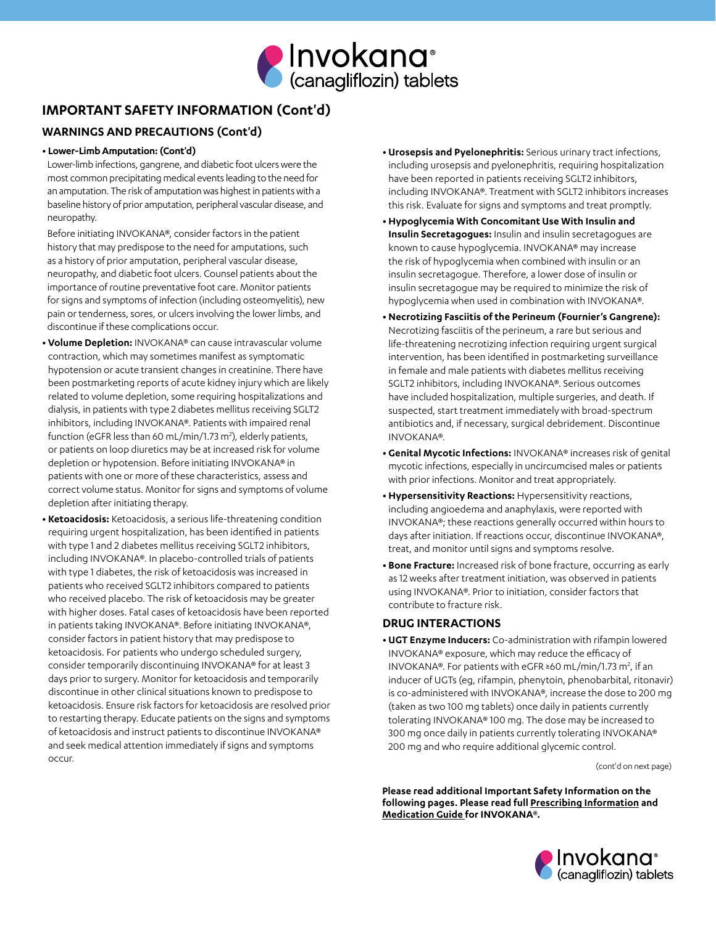

# **IMPORTANT SAFETY INFORMATION (Cont'd)**

### **WARNINGS AND PRECAUTIONS (Cont'd)**

### **• Lower-Limb Amputation: (Cont'd)**

Lower-limb infections, gangrene, and diabetic foot ulcers were the most common precipitating medical events leading to the need for an amputation. The risk of amputation was highest in patients with a baseline history of prior amputation, peripheral vascular disease, and neuropathy.

Before initiating INVOKANA®, consider factors in the patient history that may predispose to the need for amputations, such as a history of prior amputation, peripheral vascular disease, neuropathy, and diabetic foot ulcers. Counsel patients about the importance of routine preventative foot care. Monitor patients for signs and symptoms of infection (including osteomyelitis), new pain or tenderness, sores, or ulcers involving the lower limbs, and discontinue if these complications occur.

- **• Volume Depletion:** INVOKANA® can cause intravascular volume contraction, which may sometimes manifest as symptomatic hypotension or acute transient changes in creatinine. There have been postmarketing reports of acute kidney injury which are likely related to volume depletion, some requiring hospitalizations and dialysis, in patients with type 2 diabetes mellitus receiving SGLT2 inhibitors, including INVOKANA®. Patients with impaired renal function (eGFR less than 60 mL/min/1.73 m<sup>2</sup>), elderly patients, or patients on loop diuretics may be at increased risk for volume depletion or hypotension. Before initiating INVOKANA® in patients with one or more of these characteristics, assess and correct volume status. Monitor for signs and symptoms of volume depletion after initiating therapy.
- **• Ketoacidosis:** Ketoacidosis, a serious life-threatening condition requiring urgent hospitalization, has been identified in patients with type 1 and 2 diabetes mellitus receiving SGLT2 inhibitors, including INVOKANA®. In placebo-controlled trials of patients with type 1 diabetes, the risk of ketoacidosis was increased in patients who received SGLT2 inhibitors compared to patients who received placebo. The risk of ketoacidosis may be greater with higher doses. Fatal cases of ketoacidosis have been reported in patients taking INVOKANA®. Before initiating INVOKANA®, consider factors in patient history that may predispose to ketoacidosis. For patients who undergo scheduled surgery, consider temporarily discontinuing INVOKANA® for at least 3 days prior to surgery. Monitor for ketoacidosis and temporarily discontinue in other clinical situations known to predispose to ketoacidosis. Ensure risk factors for ketoacidosis are resolved prior to restarting therapy. Educate patients on the signs and symptoms of ketoacidosis and instruct patients to discontinue INVOKANA® and seek medical attention immediately if signs and symptoms occur.
- **• Urosepsis and Pyelonephritis:** Serious urinary tract infections, including urosepsis and pyelonephritis, requiring hospitalization have been reported in patients receiving SGLT2 inhibitors, including INVOKANA®. Treatment with SGLT2 inhibitors increases this risk. Evaluate for signs and symptoms and treat promptly.
- **• Hypoglycemia With Concomitant Use With Insulin and Insulin Secretagogues:** Insulin and insulin secretagogues are known to cause hypoglycemia. INVOKANA® may increase the risk of hypoglycemia when combined with insulin or an insulin secretagogue. Therefore, a lower dose of insulin or insulin secretagogue may be required to minimize the risk of hypoglycemia when used in combination with INVOKANA®.
- **• Necrotizing Fasciitis of the Perineum (Fournier's Gangrene):** Necrotizing fasciitis of the perineum, a rare but serious and life-threatening necrotizing infection requiring urgent surgical intervention, has been identified in postmarketing surveillance in female and male patients with diabetes mellitus receiving SGLT2 inhibitors, including INVOKANA®. Serious outcomes have included hospitalization, multiple surgeries, and death. If suspected, start treatment immediately with broad-spectrum antibiotics and, if necessary, surgical debridement. Discontinue INVOKANA®.
- **• Genital Mycotic Infections:** INVOKANA® increases risk of genital mycotic infections, especially in uncircumcised males or patients with prior infections. Monitor and treat appropriately.
- **• Hypersensitivity Reactions:** Hypersensitivity reactions, including angioedema and anaphylaxis, were reported with INVOKANA®; these reactions generally occurred within hours to days after initiation. If reactions occur, discontinue INVOKANA®, treat, and monitor until signs and symptoms resolve.
- **• Bone Fracture:** Increased risk of bone fracture, occurring as early as 12 weeks after treatment initiation, was observed in patients using INVOKANA®. Prior to initiation, consider factors that contribute to fracture risk.

### **DRUG INTERACTIONS**

**• UGT Enzyme Inducers:** Co-administration with rifampin lowered INVOKANA® exposure, which may reduce the efficacy of INVOKANA®. For patients with eGFR ≥60 mL/min/1.73 m<sup>2</sup>, if an inducer of UGTs (eg, rifampin, phenytoin, phenobarbital, ritonavir) is co-administered with INVOKANA®, increase the dose to 200 mg (taken as two 100 mg tablets) once daily in patients currently tolerating INVOKANA® 100 mg. The dose may be increased to 300 mg once daily in patients currently tolerating INVOKANA® 200 mg and who require additional glycemic control.

(cont'd on next page)

**Please read additional Important Safety Information on the following pages. Please read full [Prescribing Information](http://www.janssenlabels.com/package-insert/product-monograph/prescribing-information/INVOKANA-pi.pdf) and [Medication Guide](http://www.janssenlabels.com/package-insert/product-patient-information/INVOKANA-medication-guide.pdf) for INVOKANA®.**